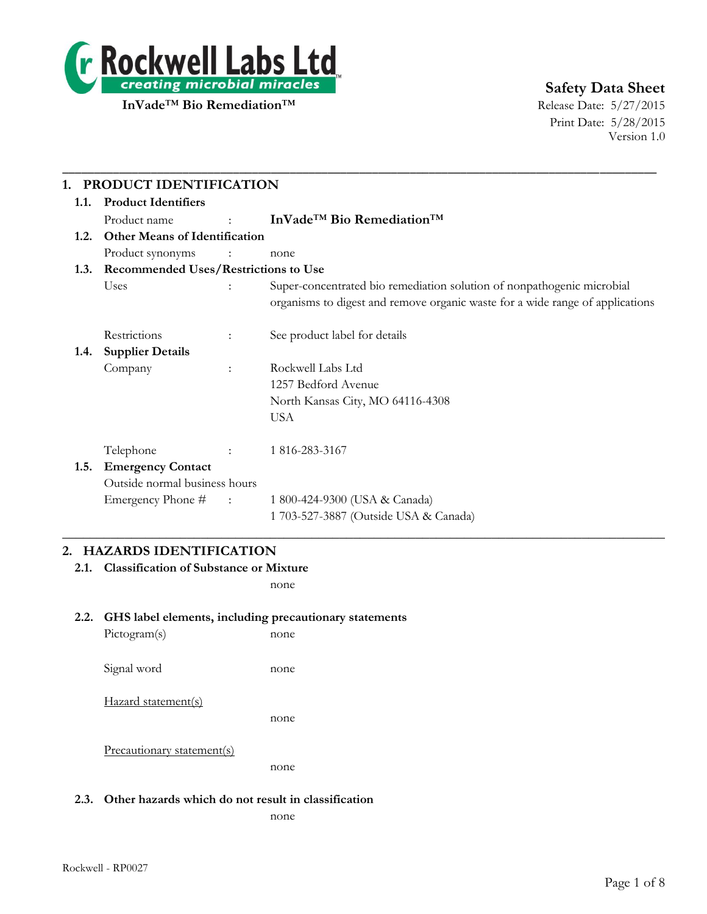

# **Safety Data Sheet**

Print Date: 5/28/2015 Version 1.0

|                                              | PRODUCT IDENTIFICATION                      |                               |                                                                                                                                                         |  |  |  |
|----------------------------------------------|---------------------------------------------|-------------------------------|---------------------------------------------------------------------------------------------------------------------------------------------------------|--|--|--|
| 1.1.                                         | <b>Product Identifiers</b>                  |                               |                                                                                                                                                         |  |  |  |
|                                              | Product name                                | $\mathbf{r}$ and $\mathbf{r}$ | InVade <sup>™</sup> Bio Remediation <sup>™</sup>                                                                                                        |  |  |  |
| <b>Other Means of Identification</b><br>1.2. |                                             |                               |                                                                                                                                                         |  |  |  |
|                                              | Product synonyms                            |                               | none                                                                                                                                                    |  |  |  |
| 1.3.                                         | <b>Recommended Uses/Restrictions to Use</b> |                               |                                                                                                                                                         |  |  |  |
|                                              | Uses                                        |                               | Super-concentrated bio remediation solution of nonpathogenic microbial<br>organisms to digest and remove organic waste for a wide range of applications |  |  |  |
|                                              | Restrictions                                | ÷                             | See product label for details                                                                                                                           |  |  |  |
| 1.4.                                         | <b>Supplier Details</b>                     |                               |                                                                                                                                                         |  |  |  |
|                                              | Company                                     | $\ddot{\cdot}$                | Rockwell Labs Ltd                                                                                                                                       |  |  |  |
|                                              |                                             |                               | 1257 Bedford Avenue                                                                                                                                     |  |  |  |
|                                              |                                             |                               | North Kansas City, MO 64116-4308                                                                                                                        |  |  |  |
|                                              |                                             |                               | <b>USA</b>                                                                                                                                              |  |  |  |
|                                              | Telephone                                   |                               | 1 816-283-3167                                                                                                                                          |  |  |  |
| 1.5.                                         | <b>Emergency Contact</b>                    |                               |                                                                                                                                                         |  |  |  |
|                                              | Outside normal business hours               |                               |                                                                                                                                                         |  |  |  |
|                                              | Emergency Phone #                           | $\sim 1000$ and $\sim 100$    | 1 800-424-9300 (USA & Canada)                                                                                                                           |  |  |  |
|                                              |                                             |                               | 1 703-527-3887 (Outside USA & Canada)                                                                                                                   |  |  |  |

## **2. HAZARDS IDENTIFICATION**

**2.1. Classification of Substance or Mixture**

none

## **2.2. GHS label elements, including precautionary statements**

| Pictogram(s)               | none |
|----------------------------|------|
| Signal word                | none |
| Hazard statement(s)        | none |
| Precautionary statement(s) |      |

none

## **2.3. Other hazards which do not result in classification**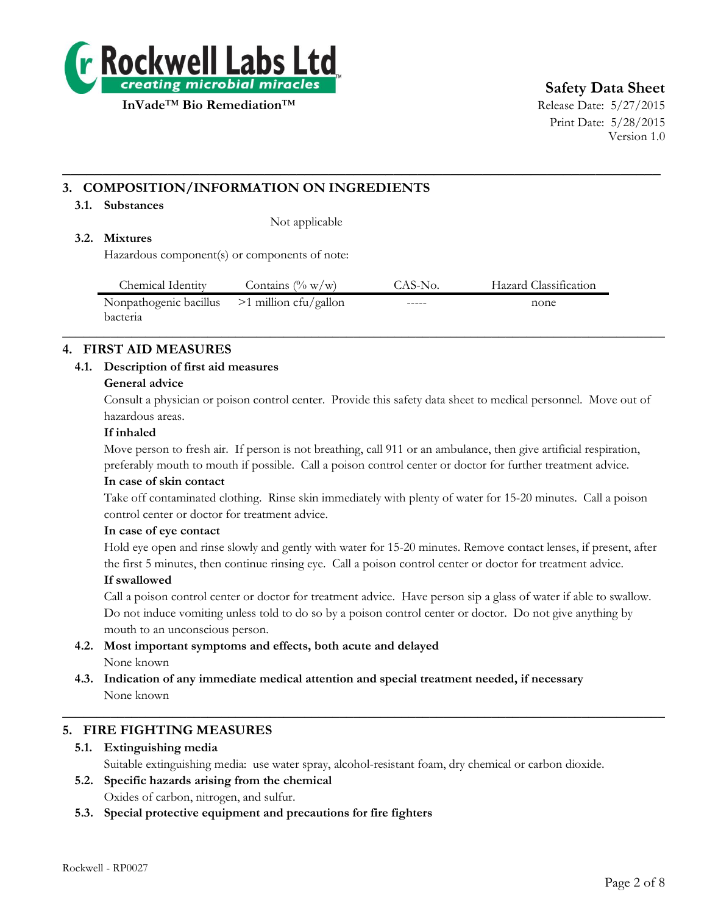

# **Safety Data Sheet**

Print Date: 5/28/2015 Version 1.0

## **3. COMPOSITION/INFORMATION ON INGREDIENTS**

#### **3.1. Substances**

Not applicable

## **3.2. Mixtures**

Hazardous component(s) or components of note:

| Chemical Identity                              | Contains $(\% w/w)$ | CAS-No. | Hazard Classification |
|------------------------------------------------|---------------------|---------|-----------------------|
| Nonpathogenic bacillus $>1$ million cfu/gallon |                     | $-----$ | none                  |
| <b>bacteria</b>                                |                     |         |                       |

 $\_$  , and the set of the set of the set of the set of the set of the set of the set of the set of the set of the set of the set of the set of the set of the set of the set of the set of the set of the set of the set of th

**\_\_\_\_\_\_\_\_\_\_\_\_\_\_\_\_\_\_\_\_\_\_\_\_\_\_\_\_\_\_\_\_\_\_\_\_\_\_\_\_\_\_\_\_\_\_\_\_\_\_\_\_\_\_\_\_\_\_\_\_\_\_\_\_\_\_\_\_\_\_\_\_\_\_**

## **4. FIRST AID MEASURES**

## **4.1. Description of first aid measures**

#### **General advice**

Consult a physician or poison control center. Provide this safety data sheet to medical personnel. Move out of hazardous areas.

#### **If inhaled**

Move person to fresh air. If person is not breathing, call 911 or an ambulance, then give artificial respiration, preferably mouth to mouth if possible. Call a poison control center or doctor for further treatment advice.

#### **In case of skin contact**

Take off contaminated clothing. Rinse skin immediately with plenty of water for 15-20 minutes. Call a poison control center or doctor for treatment advice.

#### **In case of eye contact**

Hold eye open and rinse slowly and gently with water for 15-20 minutes. Remove contact lenses, if present, after the first 5 minutes, then continue rinsing eye. Call a poison control center or doctor for treatment advice.

#### **If swallowed**

Call a poison control center or doctor for treatment advice. Have person sip a glass of water if able to swallow. Do not induce vomiting unless told to do so by a poison control center or doctor. Do not give anything by mouth to an unconscious person.

- **4.2. Most important symptoms and effects, both acute and delayed** None known
- **4.3. Indication of any immediate medical attention and special treatment needed, if necessary** None known

## **5. FIRE FIGHTING MEASURES**

## **5.1. Extinguishing media**

Suitable extinguishing media: use water spray, alcohol-resistant foam, dry chemical or carbon dioxide.

 $\_$  , and the set of the set of the set of the set of the set of the set of the set of the set of the set of the set of the set of the set of the set of the set of the set of the set of the set of the set of the set of th

- **5.2. Specific hazards arising from the chemical** Oxides of carbon, nitrogen, and sulfur.
- **5.3. Special protective equipment and precautions for fire fighters**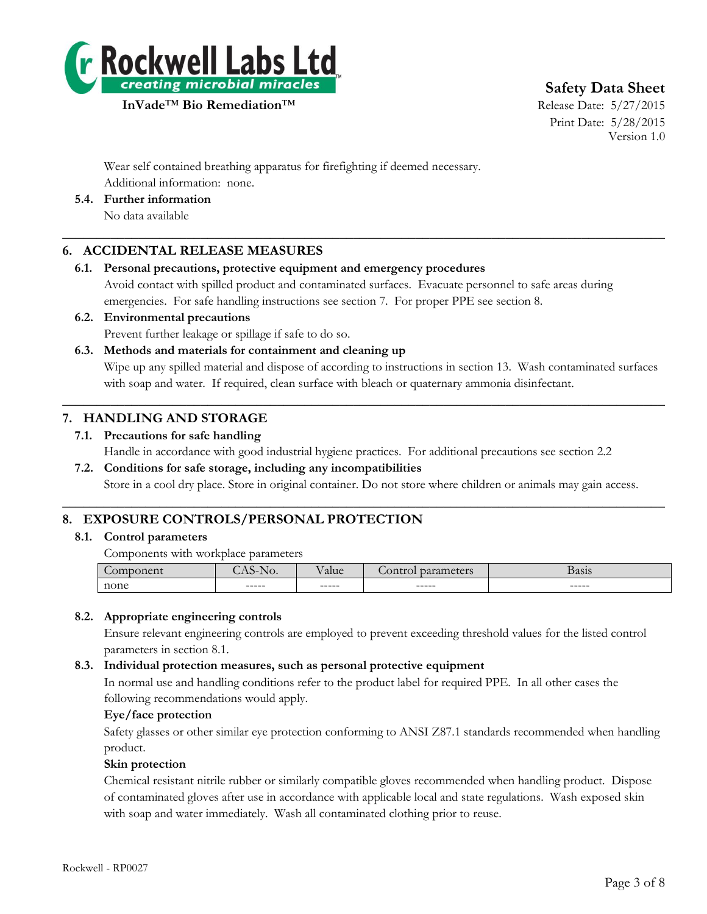

**Safety Data Sheet**

Print Date: 5/28/2015 Version 1.0

Wear self contained breathing apparatus for firefighting if deemed necessary. Additional information: none.

**5.4. Further information**

No data available

## **6. ACCIDENTAL RELEASE MEASURES**

## **6.1. Personal precautions, protective equipment and emergency procedures**

Avoid contact with spilled product and contaminated surfaces. Evacuate personnel to safe areas during emergencies. For safe handling instructions see section 7. For proper PPE see section 8.

 $\_$  , and the set of the set of the set of the set of the set of the set of the set of the set of the set of the set of the set of the set of the set of the set of the set of the set of the set of the set of the set of th

**6.2. Environmental precautions** Prevent further leakage or spillage if safe to do so.

## **6.3. Methods and materials for containment and cleaning up**

Wipe up any spilled material and dispose of according to instructions in section 13. Wash contaminated surfaces with soap and water. If required, clean surface with bleach or quaternary ammonia disinfectant.

## **7. HANDLING AND STORAGE**

## **7.1. Precautions for safe handling**

Handle in accordance with good industrial hygiene practices. For additional precautions see section 2.2

 $\_$  , and the set of the set of the set of the set of the set of the set of the set of the set of the set of the set of the set of the set of the set of the set of the set of the set of the set of the set of the set of th

 $\_$  , and the set of the set of the set of the set of the set of the set of the set of the set of the set of the set of the set of the set of the set of the set of the set of the set of the set of the set of the set of th

## **7.2. Conditions for safe storage, including any incompatibilities**

Store in a cool dry place. Store in original container. Do not store where children or animals may gain access.

## **8. EXPOSURE CONTROLS/PERSONAL PROTECTION**

## **8.1. Control parameters**

Components with workplace parameters

| - -  | .      | $-$<br><b>a</b> lue | $\Gamma \cap \mathcal{M}$ | <b>Basis</b><br>--- - |
|------|--------|---------------------|---------------------------|-----------------------|
| none | ------ | ------              | ------                    | ------                |

## **8.2. Appropriate engineering controls**

Ensure relevant engineering controls are employed to prevent exceeding threshold values for the listed control parameters in section 8.1.

## **8.3. Individual protection measures, such as personal protective equipment**

In normal use and handling conditions refer to the product label for required PPE. In all other cases the following recommendations would apply.

## **Eye/face protection**

Safety glasses or other similar eye protection conforming to ANSI Z87.1 standards recommended when handling product.

## **Skin protection**

Chemical resistant nitrile rubber or similarly compatible gloves recommended when handling product. Dispose of contaminated gloves after use in accordance with applicable local and state regulations. Wash exposed skin with soap and water immediately. Wash all contaminated clothing prior to reuse.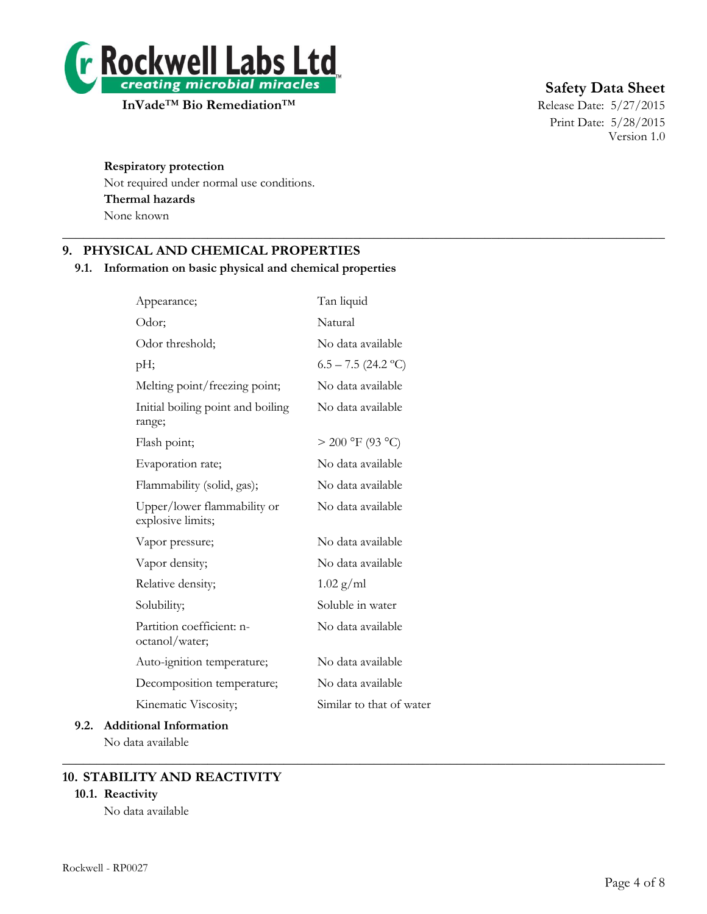

# **Safety Data Sheet**

Print Date: 5/28/2015 Version 1.0

#### **Respiratory protection**

Not required under normal use conditions. **Thermal hazards** None known

## **9. PHYSICAL AND CHEMICAL PROPERTIES**

#### **9.1. Information on basic physical and chemical properties**

 $\_$  , and the set of the set of the set of the set of the set of the set of the set of the set of the set of the set of the set of the set of the set of the set of the set of the set of the set of the set of the set of th

 $\_$  , and the set of the set of the set of the set of the set of the set of the set of the set of the set of the set of the set of the set of the set of the set of the set of the set of the set of the set of the set of th

| Appearance;                                      | Tan liquid               |
|--------------------------------------------------|--------------------------|
| Odor;                                            | Natural                  |
| Odor threshold;                                  | No data available        |
| pH;                                              | $6.5 - 7.5$ (24.2 °C)    |
| Melting point/freezing point;                    | No data available        |
| Initial boiling point and boiling<br>range;      | No data available        |
| Flash point;                                     | $> 200$ °F (93 °C)       |
| Evaporation rate;                                | No data available        |
| Flammability (solid, gas);                       | No data available        |
| Upper/lower flammability or<br>explosive limits; | No data available        |
| Vapor pressure;                                  | No data available        |
| Vapor density;                                   | No data available        |
| Relative density;                                | $1.02$ g/ml              |
| Solubility;                                      | Soluble in water         |
| Partition coefficient: n-<br>octanol/water;      | No data available        |
| Auto-ignition temperature;                       | No data available        |
| Decomposition temperature;                       | No data available        |
| Kinematic Viscosity;                             | Similar to that of water |
| 9.2. Additional Information                      |                          |

No data available

## **10. STABILITY AND REACTIVITY**

## **10.1. Reactivity**

No data available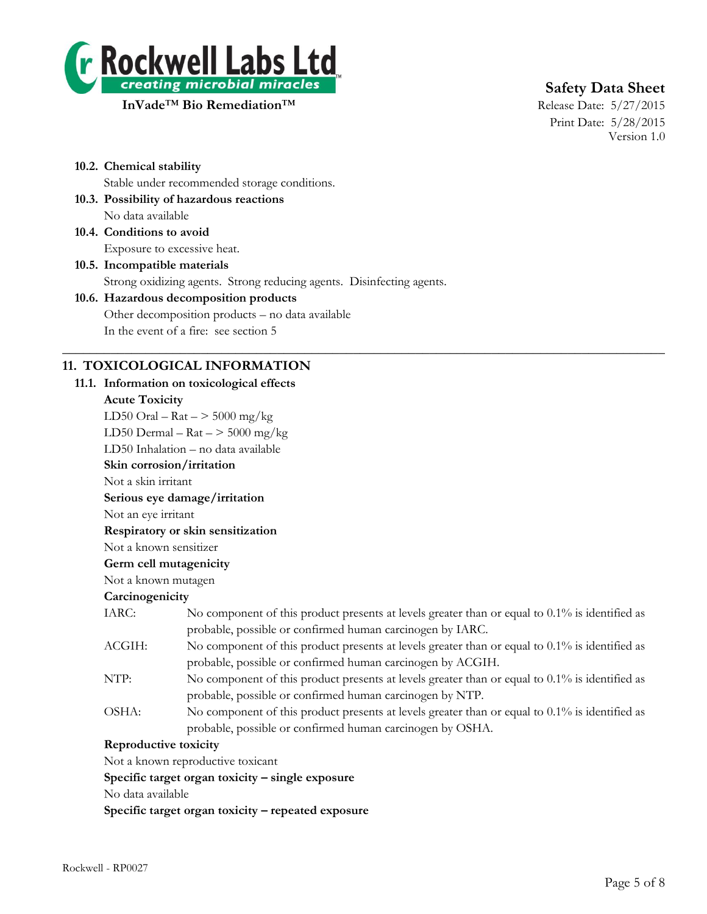

# **Safety Data Sheet**

Print Date: 5/28/2015 Version 1.0

**10.2. Chemical stability**

Stable under recommended storage conditions.

- **10.3. Possibility of hazardous reactions** No data available
- **10.4. Conditions to avoid** Exposure to excessive heat.
- **10.5. Incompatible materials** Strong oxidizing agents. Strong reducing agents. Disinfecting agents.

# **10.6. Hazardous decomposition products** Other decomposition products – no data available

In the event of a fire: see section 5

## **11. TOXICOLOGICAL INFORMATION**

#### **11.1. Information on toxicological effects**

#### **Acute Toxicity**

LD50 Oral –  $\text{Rat}$  –  $>$  5000 mg/kg LD50 Dermal –  $\text{Rat}$  –  $>$  5000 mg/kg

LD50 Inhalation – no data available

**Skin corrosion/irritation**

Not a skin irritant

**Serious eye damage/irritation**

Not an eye irritant

**Respiratory or skin sensitization**

Not a known sensitizer

## **Germ cell mutagenicity**

Not a known mutagen

## **Carcinogenicity**

IARC: No component of this product presents at levels greater than or equal to 0.1% is identified as probable, possible or confirmed human carcinogen by IARC.

 $\_$  , and the set of the set of the set of the set of the set of the set of the set of the set of the set of the set of the set of the set of the set of the set of the set of the set of the set of the set of the set of th

- ACGIH: No component of this product presents at levels greater than or equal to 0.1% is identified as probable, possible or confirmed human carcinogen by ACGIH.
- NTP: No component of this product presents at levels greater than or equal to 0.1% is identified as probable, possible or confirmed human carcinogen by NTP.
- OSHA: No component of this product presents at levels greater than or equal to 0.1% is identified as probable, possible or confirmed human carcinogen by OSHA.

## **Reproductive toxicity**

Not a known reproductive toxicant

**Specific target organ toxicity – single exposure**

No data available

**Specific target organ toxicity – repeated exposure**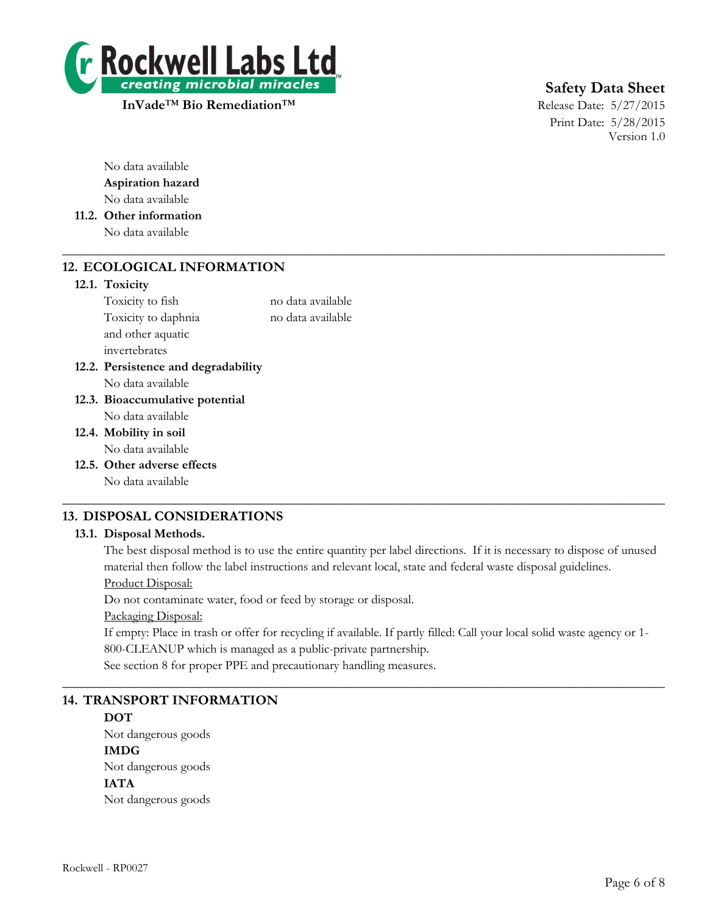

**InVade<sup>™</sup> Bio Remediation<sup>™</sup> Release Date: 5/27/2015** 

# **Safety Data Sheet**

Print Date: 5/28/2015 Version 1.0

No data available **Aspiration hazard** No data available

**11.2. Other information** No data available

## **12. ECOLOGICAL INFORMATION**

#### **12.1. Toxicity**

Toxicity to fish no data available Toxicity to daphnia no data available and other aquatic invertebrates

 $\_$  , and the set of the set of the set of the set of the set of the set of the set of the set of the set of the set of the set of the set of the set of the set of the set of the set of the set of the set of the set of th

- **12.2. Persistence and degradability** No data available
- **12.3. Bioaccumulative potential** No data available
- **12.4. Mobility in soil** No data available
- **12.5. Other adverse effects** No data available

## $\_$  , and the set of the set of the set of the set of the set of the set of the set of the set of the set of the set of the set of the set of the set of the set of the set of the set of the set of the set of the set of th **13. DISPOSAL CONSIDERATIONS**

## **13.1. Disposal Methods.**

The best disposal method is to use the entire quantity per label directions. If it is necessary to dispose of unused material then follow the label instructions and relevant local, state and federal waste disposal guidelines. Product Disposal:

Do not contaminate water, food or feed by storage or disposal.

Packaging Disposal:

If empty: Place in trash or offer for recycling if available. If partly filled: Call your local solid waste agency or 1- 800-CLEANUP which is managed as a public-private partnership.

 $\_$  , and the set of the set of the set of the set of the set of the set of the set of the set of the set of the set of the set of the set of the set of the set of the set of the set of the set of the set of the set of th

See section 8 for proper PPE and precautionary handling measures.

## **14. TRANSPORT INFORMATION**

# **DOT**

Not dangerous goods **IMDG** Not dangerous goods **IATA** Not dangerous goods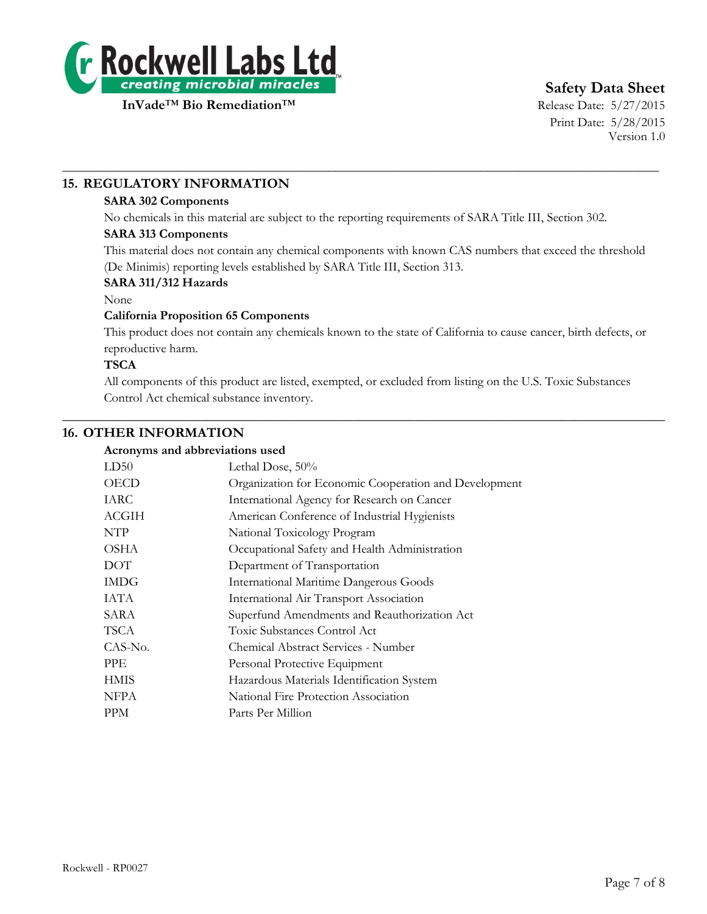

**Safety Data Sheet**

Print Date: 5/28/2015 Version 1.0

## **15. REGULATORY INFORMATION**

#### **SARA 302 Components**

No chemicals in this material are subject to the reporting requirements of SARA Title III, Section 302.

\_\_\_\_\_\_\_\_\_\_\_\_\_\_\_\_\_\_\_\_\_\_\_\_\_\_\_\_\_\_\_\_\_\_\_\_\_\_\_\_\_\_\_\_\_\_\_\_\_\_\_\_\_\_\_\_\_\_\_\_\_\_\_\_\_\_\_\_\_\_\_\_\_\_\_\_\_\_\_\_\_\_\_\_\_\_\_\_\_\_\_\_\_\_

## **SARA 313 Components**

This material does not contain any chemical components with known CAS numbers that exceed the threshold (De Minimis) reporting levels established by SARA Title III, Section 313.

#### **SARA 311/312 Hazards**

#### None

#### **California Proposition 65 Components**

This product does not contain any chemicals known to the state of California to cause cancer, birth defects, or reproductive harm.

#### **TSCA**

All components of this product are listed, exempted, or excluded from listing on the U.S. Toxic Substances Control Act chemical substance inventory.

 $\_$  , and the set of the set of the set of the set of the set of the set of the set of the set of the set of the set of the set of the set of the set of the set of the set of the set of the set of the set of the set of th

## **16. OTHER INFORMATION**

#### **Acronyms and abbreviations used**

| LD50        | Lethal Dose, 50%                                      |
|-------------|-------------------------------------------------------|
| OECD        | Organization for Economic Cooperation and Development |
| IARC        | International Agency for Research on Cancer           |
| ACGIH       | American Conference of Industrial Hygienists          |
| <b>NTP</b>  | National Toxicology Program                           |
| OSHA        | Occupational Safety and Health Administration         |
| DOT         | Department of Transportation                          |
| <b>IMDG</b> | <b>International Maritime Dangerous Goods</b>         |
| IATA        | International Air Transport Association               |
| SARA        | Superfund Amendments and Reauthorization Act          |
| TSCA        | Toxic Substances Control Act                          |
| CAS-No.     | Chemical Abstract Services - Number                   |
| PPE.        | Personal Protective Equipment                         |
| <b>HMIS</b> | Hazardous Materials Identification System             |
| <b>NFPA</b> | National Fire Protection Association                  |
| <b>PPM</b>  | Parts Per Million                                     |